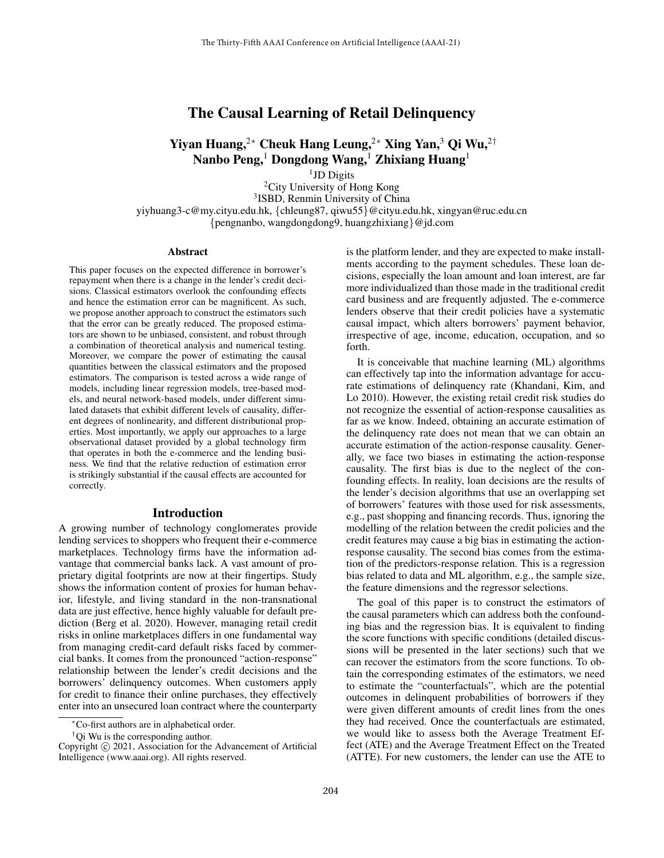# The Causal Learning of Retail Delinquency

# Yiyan Huang,<sup>2∗</sup> Cheuk Hang Leung,<sup>2∗</sup> Xing Yan,<sup>3</sup> Qi Wu,<sup>2†</sup> Nanbo Peng,<sup>1</sup> Dongdong Wang,<sup>1</sup> Zhixiang Huang<sup>1</sup>

<sup>1</sup>JD Digits

<sup>2</sup>City University of Hong Kong 3 ISBD, Renmin University of China yiyhuang3-c@my.cityu.edu.hk, {chleung87, qiwu55}@cityu.edu.hk, xingyan@ruc.edu.cn {pengnanbo, wangdongdong9, huangzhixiang}@jd.com

#### Abstract

This paper focuses on the expected difference in borrower's repayment when there is a change in the lender's credit decisions. Classical estimators overlook the confounding effects and hence the estimation error can be magnificent. As such, we propose another approach to construct the estimators such that the error can be greatly reduced. The proposed estimators are shown to be unbiased, consistent, and robust through a combination of theoretical analysis and numerical testing. Moreover, we compare the power of estimating the causal quantities between the classical estimators and the proposed estimators. The comparison is tested across a wide range of models, including linear regression models, tree-based models, and neural network-based models, under different simulated datasets that exhibit different levels of causality, different degrees of nonlinearity, and different distributional properties. Most importantly, we apply our approaches to a large observational dataset provided by a global technology firm that operates in both the e-commerce and the lending business. We find that the relative reduction of estimation error is strikingly substantial if the causal effects are accounted for correctly.

#### Introduction

A growing number of technology conglomerates provide lending services to shoppers who frequent their e-commerce marketplaces. Technology firms have the information advantage that commercial banks lack. A vast amount of proprietary digital footprints are now at their fingertips. Study shows the information content of proxies for human behavior, lifestyle, and living standard in the non-transnational data are just effective, hence highly valuable for default prediction (Berg et al. 2020). However, managing retail credit risks in online marketplaces differs in one fundamental way from managing credit-card default risks faced by commercial banks. It comes from the pronounced "action-response" relationship between the lender's credit decisions and the borrowers' delinquency outcomes. When customers apply for credit to finance their online purchases, they effectively enter into an unsecured loan contract where the counterparty

<sup> $\dagger$ </sup>Qi Wu is the corresponding author.

is the platform lender, and they are expected to make installments according to the payment schedules. These loan decisions, especially the loan amount and loan interest, are far more individualized than those made in the traditional credit card business and are frequently adjusted. The e-commerce lenders observe that their credit policies have a systematic causal impact, which alters borrowers' payment behavior, irrespective of age, income, education, occupation, and so forth.

It is conceivable that machine learning (ML) algorithms can effectively tap into the information advantage for accurate estimations of delinquency rate (Khandani, Kim, and Lo 2010). However, the existing retail credit risk studies do not recognize the essential of action-response causalities as far as we know. Indeed, obtaining an accurate estimation of the delinquency rate does not mean that we can obtain an accurate estimation of the action-response causality. Generally, we face two biases in estimating the action-response causality. The first bias is due to the neglect of the confounding effects. In reality, loan decisions are the results of the lender's decision algorithms that use an overlapping set of borrowers' features with those used for risk assessments, e.g., past shopping and financing records. Thus, ignoring the modelling of the relation between the credit policies and the credit features may cause a big bias in estimating the actionresponse causality. The second bias comes from the estimation of the predictors-response relation. This is a regression bias related to data and ML algorithm, e.g., the sample size, the feature dimensions and the regressor selections.

The goal of this paper is to construct the estimators of the causal parameters which can address both the confounding bias and the regression bias. It is equivalent to finding the score functions with specific conditions (detailed discussions will be presented in the later sections) such that we can recover the estimators from the score functions. To obtain the corresponding estimates of the estimators, we need to estimate the "counterfactuals", which are the potential outcomes in delinquent probabilities of borrowers if they were given different amounts of credit lines from the ones they had received. Once the counterfactuals are estimated, we would like to assess both the Average Treatment Effect (ATE) and the Average Treatment Effect on the Treated (ATTE). For new customers, the lender can use the ATE to

<sup>∗</sup>Co-first authors are in alphabetical order.

Copyright © 2021, Association for the Advancement of Artificial Intelligence (www.aaai.org). All rights reserved.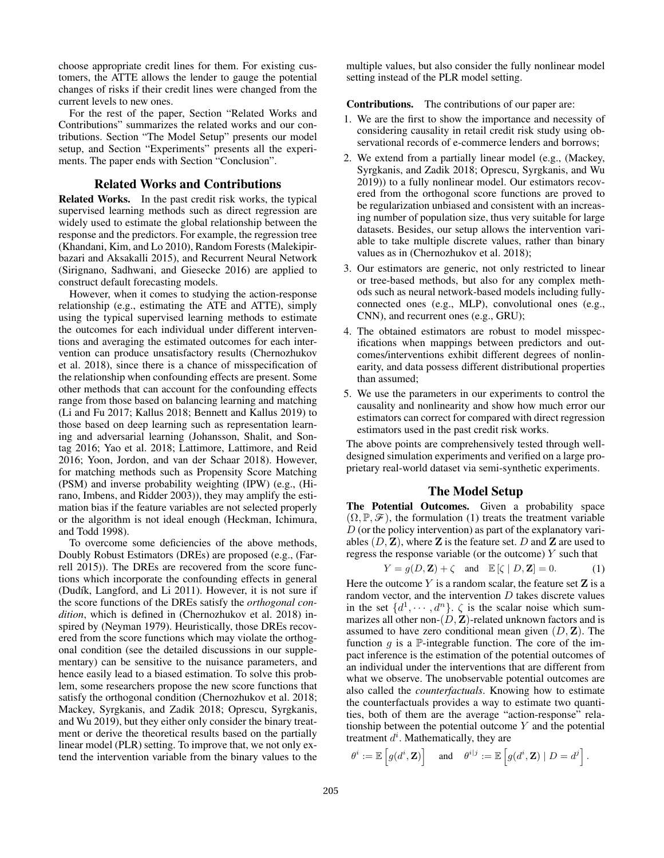choose appropriate credit lines for them. For existing customers, the ATTE allows the lender to gauge the potential changes of risks if their credit lines were changed from the current levels to new ones.

For the rest of the paper, Section "Related Works and Contributions" summarizes the related works and our contributions. Section "The Model Setup" presents our model setup, and Section "Experiments" presents all the experiments. The paper ends with Section "Conclusion".

## Related Works and Contributions

Related Works. In the past credit risk works, the typical supervised learning methods such as direct regression are widely used to estimate the global relationship between the response and the predictors. For example, the regression tree (Khandani, Kim, and Lo 2010), Random Forests (Malekipirbazari and Aksakalli 2015), and Recurrent Neural Network (Sirignano, Sadhwani, and Giesecke 2016) are applied to construct default forecasting models.

However, when it comes to studying the action-response relationship (e.g., estimating the ATE and ATTE), simply using the typical supervised learning methods to estimate the outcomes for each individual under different interventions and averaging the estimated outcomes for each intervention can produce unsatisfactory results (Chernozhukov et al. 2018), since there is a chance of misspecification of the relationship when confounding effects are present. Some other methods that can account for the confounding effects range from those based on balancing learning and matching (Li and Fu 2017; Kallus 2018; Bennett and Kallus 2019) to those based on deep learning such as representation learning and adversarial learning (Johansson, Shalit, and Sontag 2016; Yao et al. 2018; Lattimore, Lattimore, and Reid 2016; Yoon, Jordon, and van der Schaar 2018). However, for matching methods such as Propensity Score Matching (PSM) and inverse probability weighting (IPW) (e.g., (Hirano, Imbens, and Ridder 2003)), they may amplify the estimation bias if the feature variables are not selected properly or the algorithm is not ideal enough (Heckman, Ichimura, and Todd 1998).

To overcome some deficiencies of the above methods, Doubly Robust Estimators (DREs) are proposed (e.g., (Farrell 2015)). The DREs are recovered from the score functions which incorporate the confounding effects in general (Dudík, Langford, and Li 2011). However, it is not sure if the score functions of the DREs satisfy the *orthogonal condition*, which is defined in (Chernozhukov et al. 2018) inspired by (Neyman 1979). Heuristically, those DREs recovered from the score functions which may violate the orthogonal condition (see the detailed discussions in our supplementary) can be sensitive to the nuisance parameters, and hence easily lead to a biased estimation. To solve this problem, some researchers propose the new score functions that satisfy the orthogonal condition (Chernozhukov et al. 2018; Mackey, Syrgkanis, and Zadik 2018; Oprescu, Syrgkanis, and Wu 2019), but they either only consider the binary treatment or derive the theoretical results based on the partially linear model (PLR) setting. To improve that, we not only extend the intervention variable from the binary values to the

multiple values, but also consider the fully nonlinear model setting instead of the PLR model setting.

Contributions. The contributions of our paper are:

- 1. We are the first to show the importance and necessity of considering causality in retail credit risk study using observational records of e-commerce lenders and borrows;
- 2. We extend from a partially linear model (e.g., (Mackey, Syrgkanis, and Zadik 2018; Oprescu, Syrgkanis, and Wu 2019)) to a fully nonlinear model. Our estimators recovered from the orthogonal score functions are proved to be regularization unbiased and consistent with an increasing number of population size, thus very suitable for large datasets. Besides, our setup allows the intervention variable to take multiple discrete values, rather than binary values as in (Chernozhukov et al. 2018);
- 3. Our estimators are generic, not only restricted to linear or tree-based methods, but also for any complex methods such as neural network-based models including fullyconnected ones (e.g., MLP), convolutional ones (e.g., CNN), and recurrent ones (e.g., GRU);
- 4. The obtained estimators are robust to model misspecifications when mappings between predictors and outcomes/interventions exhibit different degrees of nonlinearity, and data possess different distributional properties than assumed;
- 5. We use the parameters in our experiments to control the causality and nonlinearity and show how much error our estimators can correct for compared with direct regression estimators used in the past credit risk works.

The above points are comprehensively tested through welldesigned simulation experiments and verified on a large proprietary real-world dataset via semi-synthetic experiments.

#### The Model Setup

The Potential Outcomes. Given a probability space  $(\Omega, \mathbb{P}, \mathcal{F})$ , the formulation (1) treats the treatment variable  $D$  (or the policy intervention) as part of the explanatory variables  $(D, \mathbf{Z})$ , where  $\mathbf{Z}$  is the feature set.  $D$  and  $\mathbf{Z}$  are used to regress the response variable (or the outcome)  $Y$  such that

$$
Y = g(D, \mathbf{Z}) + \zeta \quad \text{and} \quad \mathbb{E}[\zeta | D, \mathbf{Z}] = 0. \tag{1}
$$

Here the outcome  $Y$  is a random scalar, the feature set  $\mathbf{Z}$  is a random vector, and the intervention  $D$  takes discrete values in the set  $\{d^1, \dots, d^n\}$ .  $\zeta$  is the scalar noise which summarizes all other non- $(D, Z)$ -related unknown factors and is assumed to have zero conditional mean given  $(D, \mathbf{Z})$ . The function q is a  $\mathbb P$ -integrable function. The core of the impact inference is the estimation of the potential outcomes of an individual under the interventions that are different from what we observe. The unobservable potential outcomes are also called the *counterfactuals*. Knowing how to estimate the counterfactuals provides a way to estimate two quantities, both of them are the average "action-response" relationship between the potential outcome  $Y$  and the potential treatment  $d^i$ . Mathematically, they are

$$
\theta^i := \mathbb{E}\left[g(d^i, \mathbf{Z})\right] \quad \text{ and } \quad \theta^{i|j} := \mathbb{E}\left[g(d^i, \mathbf{Z}) \mid D = d^j\right].
$$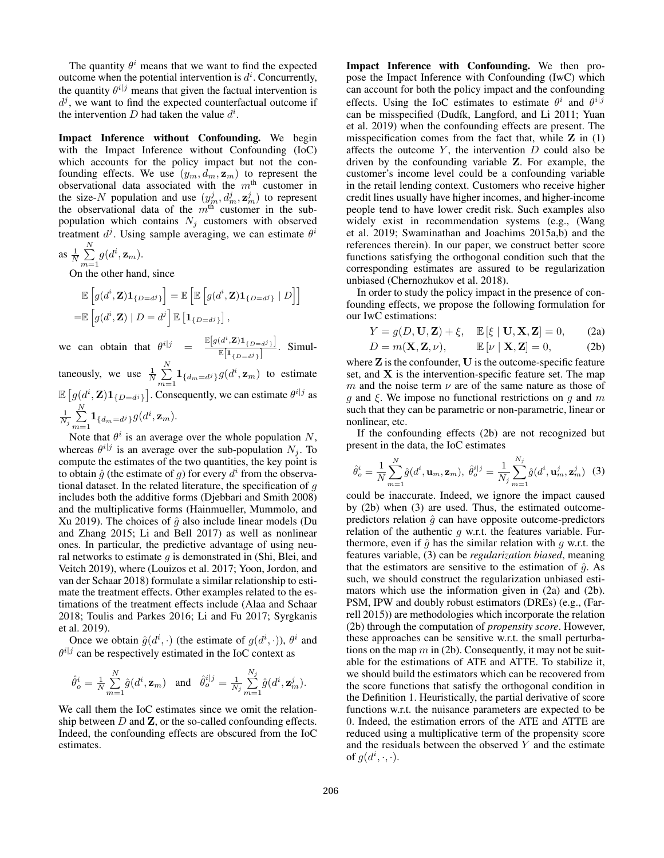The quantity  $\theta^i$  means that we want to find the expected outcome when the potential intervention is  $d^i$ . Concurrently, the quantity  $\theta^{i|j}$  means that given the factual intervention is  $d^j$ , we want to find the expected counterfactual outcome if the intervention D had taken the value  $d^i$ .

Impact Inference without Confounding. We begin with the Impact Inference without Confounding (IoC) which accounts for the policy impact but not the confounding effects. We use  $(y_m, d_m, \mathbf{z}_m)$  to represent the observational data associated with the  $m<sup>th</sup>$  customer in the size-N population and use  $(y_m^j, d_m^j, \mathbf{z}_m^j)$  to represent the observational data of the  $m<sup>th</sup>$  customer in the subpopulation which contains  $N_j$  customers with observed treatment  $d^j$ . Using sample averaging, we can estimate  $\theta^i$ N

as 
$$
\frac{1}{N} \sum_{m=1}^{N} g(d^i, \mathbf{z}_m)
$$
.

On the other hand, since

$$
\mathbb{E}\left[g(d^i,\mathbf{Z})\mathbf{1}_{\{D=d^j\}}\right] = \mathbb{E}\left[\mathbb{E}\left[g(d^i,\mathbf{Z})\mathbf{1}_{\{D=d^j\}}\mid D\right]\right]
$$

$$
= \mathbb{E}\left[g(d^i,\mathbf{Z})\mid D=d^j\right]\mathbb{E}\left[\mathbf{1}_{\{D=d^j\}}\right],
$$

we can obtain that  $\theta^{i|j} = \frac{\mathbb{E}\left[g(d^i,\mathbf{Z})\mathbf{1}_{\{D=d^j\}}\right]}{\mathbb{E}\left[\mathbf{I}_{\{D=d^j\}}\right]}$  $\frac{\mathbb{E}[1_{\{D=d^j\}}]}{\mathbb{E}[1_{\{D=d^j\}}]}$ . Simul-

taneously, we use  $\frac{1}{N} \sum_{i=1}^{N}$  $\sum_{m=1}$ **1**<sub>{dm=dj}</sub>g(d<sup>i</sup>, **z**<sub>m</sub>) to estimate  $\mathbb{E}\left[g(d^i,\mathbf{Z})\mathbf{1}_{\{D=d^j\}}\right]$ . Consequently, we can estimate  $\theta^{i|j}$  as  $\frac{1}{N_j}\sum^N$  $\sum_{m=1}$  1 {d<sub>m</sub>=d<sup>j</sup>}  $g(d^i, \mathbf{z}_m)$ .

Note that  $\theta^i$  is an average over the whole population N, whereas  $\theta^{i|j}$  is an average over the sub-population  $N_j$ . To compute the estimates of the two quantities, the key point is to obtain  $\hat{g}$  (the estimate of g) for every  $d^i$  from the observational dataset. In the related literature, the specification of  $q$ includes both the additive forms (Djebbari and Smith 2008) and the multiplicative forms (Hainmueller, Mummolo, and Xu 2019). The choices of  $\hat{g}$  also include linear models (Du and Zhang 2015; Li and Bell 2017) as well as nonlinear ones. In particular, the predictive advantage of using neural networks to estimate  $q$  is demonstrated in (Shi, Blei, and Veitch 2019), where (Louizos et al. 2017; Yoon, Jordon, and van der Schaar 2018) formulate a similar relationship to estimate the treatment effects. Other examples related to the estimations of the treatment effects include (Alaa and Schaar 2018; Toulis and Parkes 2016; Li and Fu 2017; Syrgkanis et al. 2019).

Once we obtain  $\hat{g}(d^i, \cdot)$  (the estimate of  $g(d^i, \cdot)$ ),  $\theta^i$  and  $\theta^{i|j}$  can be respectively estimated in the IoC context as

$$
\hat{\theta}^i_o = \frac{1}{N} \sum_{m=1}^N \hat{g}(d^i, \mathbf{z}_m) \quad \text{and} \quad \hat{\theta}^{i|j}_o = \frac{1}{N_j} \sum_{m=1}^{N_j} \hat{g}(d^i, \mathbf{z}^j_m).
$$

We call them the IoC estimates since we omit the relationship between  $D$  and  $\mathbf{Z}$ , or the so-called confounding effects. Indeed, the confounding effects are obscured from the IoC estimates.

Impact Inference with Confounding. We then propose the Impact Inference with Confounding (IwC) which can account for both the policy impact and the confounding effects. Using the IoC estimates to estimate  $\theta^i$  and  $\theta^{i|j}$ can be misspecified (Dudík, Langford, and Li 2011; Yuan et al. 2019) when the confounding effects are present. The misspecification comes from the fact that, while  $Z$  in (1) affects the outcome  $Y$ , the intervention  $D$  could also be driven by the confounding variable Z. For example, the customer's income level could be a confounding variable in the retail lending context. Customers who receive higher credit lines usually have higher incomes, and higher-income people tend to have lower credit risk. Such examples also widely exist in recommendation systems (e.g., (Wang et al. 2019; Swaminathan and Joachims 2015a,b) and the references therein). In our paper, we construct better score functions satisfying the orthogonal condition such that the corresponding estimates are assured to be regularization unbiased (Chernozhukov et al. 2018).

In order to study the policy impact in the presence of confounding effects, we propose the following formulation for our IwC estimations:

$$
Y = g(D, \mathbf{U}, \mathbf{Z}) + \xi, \quad \mathbb{E}[\xi \mid \mathbf{U}, \mathbf{X}, \mathbf{Z}] = 0,
$$
 (2a)

$$
D = m(\mathbf{X}, \mathbf{Z}, \nu), \qquad \mathbb{E}[\nu \mid \mathbf{X}, \mathbf{Z}] = 0, \tag{2b}
$$

where  $Z$  is the confounder,  $U$  is the outcome-specific feature set, and  $X$  is the intervention-specific feature set. The map m and the noise term  $\nu$  are of the same nature as those of q and  $\xi$ . We impose no functional restrictions on q and m such that they can be parametric or non-parametric, linear or nonlinear, etc.

If the confounding effects (2b) are not recognized but present in the data, the IoC estimates

$$
\hat{\theta}_{o}^{i} = \frac{1}{N} \sum_{m=1}^{N} \hat{g}(d^{i}, \mathbf{u}_{m}, \mathbf{z}_{m}), \ \hat{\theta}_{o}^{i|j} = \frac{1}{N_{j}} \sum_{m=1}^{N_{j}} \hat{g}(d^{i}, \mathbf{u}_{m}^{j}, \mathbf{z}_{m}^{j}) \tag{3}
$$

could be inaccurate. Indeed, we ignore the impact caused by (2b) when (3) are used. Thus, the estimated outcomepredictors relation  $\hat{q}$  can have opposite outcome-predictors relation of the authentic  $q$  w.r.t. the features variable. Furthermore, even if  $\hat{q}$  has the similar relation with q w.r.t. the features variable, (3) can be *regularization biased*, meaning that the estimators are sensitive to the estimation of  $\hat{g}$ . As such, we should construct the regularization unbiased estimators which use the information given in (2a) and (2b). PSM, IPW and doubly robust estimators (DREs) (e.g., (Farrell 2015)) are methodologies which incorporate the relation (2b) through the computation of *propensity score*. However, these approaches can be sensitive w.r.t. the small perturbations on the map  $m$  in (2b). Consequently, it may not be suitable for the estimations of ATE and ATTE. To stabilize it, we should build the estimators which can be recovered from the score functions that satisfy the orthogonal condition in the Definition 1. Heuristically, the partial derivative of score functions w.r.t. the nuisance parameters are expected to be 0. Indeed, the estimation errors of the ATE and ATTE are reduced using a multiplicative term of the propensity score and the residuals between the observed  $Y$  and the estimate of  $g(d^i, \cdot, \cdot)$ .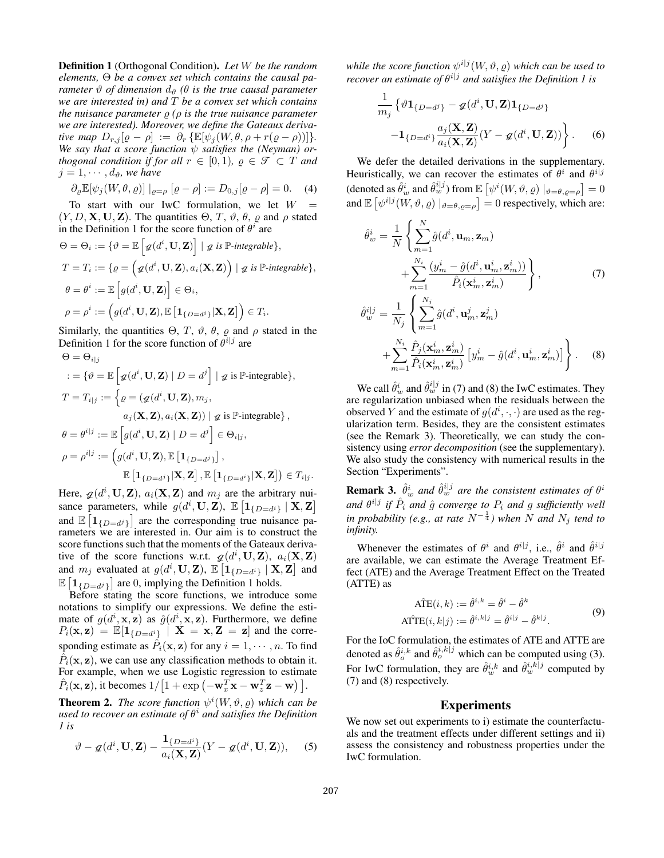Definition 1 (Orthogonal Condition). *Let* W *be the random elements,* Θ *be a convex set which contains the causal parameter*  $\vartheta$  *of dimension*  $d_{\vartheta}$  ( $\theta$  *is the true causal parameter we are interested in) and* T *be a convex set which contains the nuisance parameter*  $\varrho$  *(* $\rho$  *is the true nuisance parameter we are interested). Moreover, we define the Gateaux derivative map*  $D_{r,j}[\varrho-\rho] := \partial_r \{\mathbb{E}[\psi_j(W,\theta,\rho+r(\varrho-\rho))] \}.$ *We say that a score function* ψ *satisfies the (Neyman) orthogonal condition if for all*  $r \in [0,1)$ *,*  $\varrho \in \mathcal{T} \subset T$  *and*  $j = 1, \cdots, d_{\vartheta}$ *, we have* 

$$
\partial_{\varrho} \mathbb{E}[\psi_j(W, \theta, \varrho)] \mid_{\varrho = \rho} [\varrho - \rho] := D_{0,j}[\varrho - \rho] = 0. \quad (4)
$$

To start with our IwC formulation, we let  $W =$  $(Y, D, \mathbf{X}, \mathbf{U}, \mathbf{Z})$ . The quantities  $\Theta$ , T,  $\vartheta$ ,  $\theta$ ,  $\rho$  and  $\rho$  stated in the Definition 1 for the score function of  $\theta^i$  are

$$
\Theta = \Theta_i := \{ \vartheta = \mathbb{E} \left[ g(d^i, \mathbf{U}, \mathbf{Z}) \right] \mid g \text{ is } \mathbb{P}\text{-integrable} \},
$$
  
\n
$$
T = T_i := \{ \varrho = \left( g(d^i, \mathbf{U}, \mathbf{Z}), a_i(\mathbf{X}, \mathbf{Z}) \right) \mid g \text{ is } \mathbb{P}\text{-integrable} \},
$$
  
\n
$$
\theta = \theta^i := \mathbb{E} \left[ g(d^i, \mathbf{U}, \mathbf{Z}) \right] \in \Theta_i,
$$
  
\n
$$
\rho = \rho^i := \left( g(d^i, \mathbf{U}, \mathbf{Z}), \mathbb{E} \left[ \mathbf{1}_{\{D=d^i\}} | \mathbf{X}, \mathbf{Z} \right] \right) \in T_i.
$$

Similarly, the quantities  $\Theta$ , T,  $\vartheta$ ,  $\theta$ ,  $\rho$  and  $\rho$  stated in the Definition 1 for the score function of  $\theta^{i|j}$  are  $\Theta = \Theta_{11}$ 

$$
C = O_{i|j}
$$
  
\n
$$
C = \{\vartheta = \mathbb{E}\left[g(d^{i}, \mathbf{U}, \mathbf{Z}) \mid D = d^{j}\right] | g \text{ is } \mathbb{P}\text{-integrable}\},
$$
  
\n
$$
T = T_{i|j} := \left\{ \varrho = (g(d^{i}, \mathbf{U}, \mathbf{Z}), m_{j},
$$
  
\n
$$
a_{j}(\mathbf{X}, \mathbf{Z}), a_{i}(\mathbf{X}, \mathbf{Z})) | g \text{ is } \mathbb{P}\text{-integrable}\},
$$
  
\n
$$
\theta = \theta^{i|j} := \mathbb{E}\left[g(d^{i}, \mathbf{U}, \mathbf{Z}) \mid D = d^{j}\right] \in \Theta_{i|j},
$$
  
\n
$$
\rho = \rho^{i|j} := \left(g(d^{i}, \mathbf{U}, \mathbf{Z}), \mathbb{E}\left[\mathbf{1}_{\{D=d^{j}\}}\right],
$$
  
\n
$$
\mathbb{E}\left[\mathbf{1}_{\{D=d^{j}\}} | \mathbf{X}, \mathbf{Z}\right], \mathbb{E}\left[\mathbf{1}_{\{D=d^{i}\}} | \mathbf{X}, \mathbf{Z}\right]\right) \in T_{i|j}.
$$

Here,  $q(d^i, \mathbf{U}, \mathbf{Z})$ ,  $a_i(\mathbf{X}, \mathbf{Z})$  and  $m_j$  are the arbitrary nuisance parameters, while  $g(d^i, \mathbf{U}, \mathbf{Z})$ ,  $\mathbb{E} \left[ \mathbf{1}_{\{D=d^i\}} \mid \mathbf{X}, \mathbf{Z} \right]$ and  $\mathbb{E} \left[ \mathbf{1}_{\{D=d^j\}} \right]$  are the corresponding true nuisance parameters we are interested in. Our aim is to construct the score functions such that the moments of the Gateaux derivative of the score functions w.r.t.  $g(d^i, \mathbf{U}, \mathbf{Z})$ ,  $a_i(\mathbf{X}, \mathbf{Z})$ and  $m_j$  evaluated at  $g(d^i, \mathbf{U}, \mathbf{Z})$ ,  $\mathbb{E} \left[ \mathbf{1}_{\{D=d^i\}} \mid \mathbf{X}, \mathbf{Z} \right]$  and  $\mathbb{E} \left[ \mathbf{1}_{\{D=d^j\}} \right]$  are 0, implying the Definition 1 holds.

Before stating the score functions, we introduce some notations to simplify our expressions. We define the estimate of  $g(d^i, \mathbf{x}, \mathbf{z})$  as  $\hat{g}(d^i, \mathbf{x}, \mathbf{z})$ . Furthermore, we define  $P_i(\mathbf{x}, \mathbf{z}) = \mathbb{E}[\mathbf{1}_{\{D=d^i\}} \mid \mathbf{X} = \mathbf{x}, \mathbf{Z} = \mathbf{z}]$  and the corresponding estimate as  $\hat{P}_i(\mathbf{x}, \mathbf{z})$  for any  $i = 1, \dots, n$ . To find  $\hat{P}_i(\mathbf{x}, \mathbf{z})$ , we can use any classification methods to obtain it. For example, when we use Logistic regression to estimate  $\hat{P}_i(\mathbf{x}, \mathbf{z})$ , it becomes  $1/ [1 + \exp(-\mathbf{w}_x^T \mathbf{x} - \mathbf{w}_z^T \mathbf{z} - \mathbf{w})]$ .

**Theorem 2.** The score function  $\psi^i(W, \vartheta, \varrho)$  which can be used to recover an estimate of  $\theta^i$  and satisfies the Definition *1 is*

$$
\vartheta - \varrho(d^i, \mathbf{U}, \mathbf{Z}) - \frac{\mathbf{1}_{\{D=d^i\}}}{a_i(\mathbf{X}, \mathbf{Z})} (Y - \varrho(d^i, \mathbf{U}, \mathbf{Z})), \quad (5)
$$

while the score function  $\psi^{i|j}(W,\vartheta,\varrho)$  which can be used to *recover an estimate of*  $\theta^{i|j}$  *and satisfies the Definition 1 is* 

$$
\frac{1}{m_j} \left\{ \vartheta \mathbf{1}_{\{D=d^j\}} - g(d^i, \mathbf{U}, \mathbf{Z}) \mathbf{1}_{\{D=d^j\}} \right\}
$$

$$
- \mathbf{1}_{\{D=d^i\}} \frac{a_j(\mathbf{X}, \mathbf{Z})}{a_i(\mathbf{X}, \mathbf{Z})} (Y - g(d^i, \mathbf{U}, \mathbf{Z})) \Big\}.
$$
(6)

We defer the detailed derivations in the supplementary. Heuristically, we can recover the estimates of  $\theta^i$  and  $\theta^{i|j}$ (denoted as  $\hat{\theta}_w^i$  and  $\hat{\theta}_w^{i|j}$ ) from  $\mathbb{E}\left[\psi^i(W, \vartheta, \varrho) \big|_{\vartheta=\theta, \varrho=\rho}\right] = 0$ and  $\mathbb{E} \left[ \psi^{i|j}(W, \vartheta, \varrho) \big|_{\vartheta = \theta, \varrho = \rho} \right] = 0$  respectively, which are:

$$
\hat{\theta}_{w}^{i} = \frac{1}{N} \left\{ \sum_{m=1}^{N} \hat{g}(d^{i}, \mathbf{u}_{m}, \mathbf{z}_{m}) + \sum_{m=1}^{N_{i}} \frac{(y_{m}^{i} - \hat{g}(d^{i}, \mathbf{u}_{m}^{i}, \mathbf{z}_{m}^{i}))}{\hat{P}_{i}(\mathbf{x}_{m}^{i}, \mathbf{z}_{m}^{i})} \right\},
$$
\n
$$
\hat{\theta}_{w}^{i|j} = \frac{1}{N_{j}} \left\{ \sum_{m=1}^{N_{j}} \hat{g}(d^{i}, \mathbf{u}_{m}^{j}, \mathbf{z}_{m}^{j}) \right\},
$$
\n(7)

$$
+\sum_{m=1}^{N_i}\frac{\hat{P}_j(\mathbf{x}_m^i,\mathbf{z}_m^i)}{\hat{P}_i(\mathbf{x}_m^i,\mathbf{z}_m^i)}\left[y_m^i-\hat{g}(d^i,\mathbf{u}_m^i,\mathbf{z}_m^i)\right]\Bigg\}.\tag{8}
$$

We call  $\hat{\theta}_w^i$  and  $\hat{\theta}_w^{i|j}$  in (7) and (8) the IwC estimates. They are regularization unbiased when the residuals between the observed Y and the estimate of  $g(d^i, \cdot, \cdot)$  are used as the regularization term. Besides, they are the consistent estimates (see the Remark 3). Theoretically, we can study the consistency using *error decomposition* (see the supplementary). We also study the consistency with numerical results in the Section "Experiments".

**Remark 3.**  $\hat{\theta}_w^i$  and  $\hat{\theta}_w^{i|j}$  are the consistent estimates of  $\theta^i$ and  $\theta^{i|j}$  if  $\hat{P}_i$  and  $\hat{g}$  converge to  $P_i$  and  $g$  sufficiently well *in probability (e.g., at rate*  $N^{-\frac{1}{4}}$ ) when  $N$  *and*  $N_j$  *tend to infinity.*

Whenever the estimates of  $\theta^i$  and  $\theta^{i|j}$ , i.e.,  $\hat{\theta}^i$  and  $\hat{\theta}^{i|j}$ are available, we can estimate the Average Treatment Effect (ATE) and the Average Treatment Effect on the Treated (ATTE) as

$$
\widehat{\text{ATE}}(i,k) := \widehat{\theta}^{i,k} = \widehat{\theta}^i - \widehat{\theta}^k
$$

$$
\widehat{\text{ATTE}}(i,k|j) := \widehat{\theta}^{i,k|j} = \widehat{\theta}^{i|j} - \widehat{\theta}^{k|j}.
$$

$$
(9)
$$

For the IoC formulation, the estimates of ATE and ATTE are denoted as  $\hat{\theta}_{o}^{i,k}$  and  $\hat{\theta}_{o}^{i,k|j}$  which can be computed using (3). For IwC formulation, they are  $\hat{\theta}_{w}^{i,k}$  and  $\hat{\theta}_{w}^{i,k|j}$  computed by (7) and (8) respectively.

#### Experiments

We now set out experiments to i) estimate the counterfactuals and the treatment effects under different settings and ii) assess the consistency and robustness properties under the IwC formulation.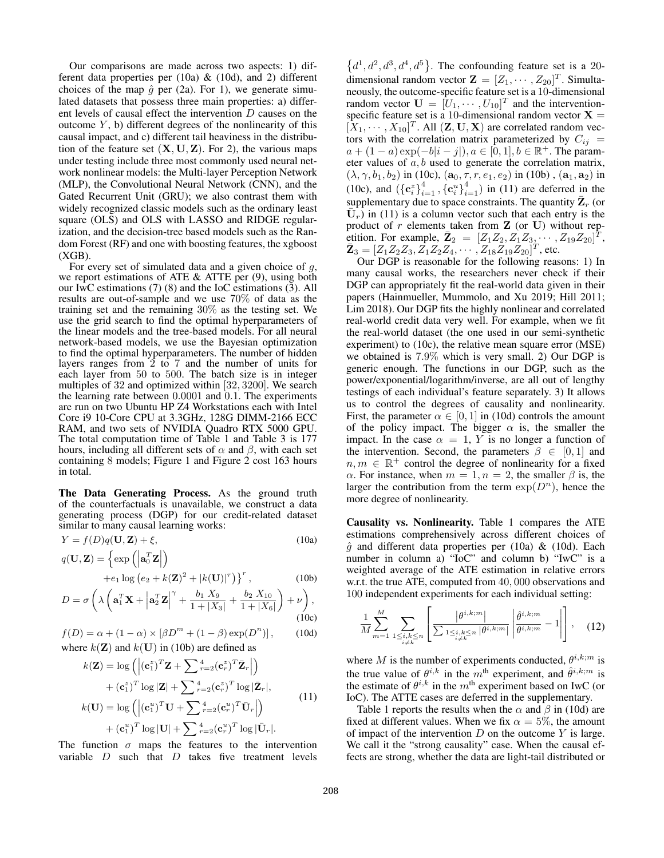Our comparisons are made across two aspects: 1) different data properties per (10a) & (10d), and 2) different choices of the map  $\hat{g}$  per (2a). For 1), we generate simulated datasets that possess three main properties: a) different levels of causal effect the intervention  $D$  causes on the outcome  $Y$ , b) different degrees of the nonlinearity of this causal impact, and c) different tail heaviness in the distribution of the feature set  $(X, U, Z)$ . For 2), the various maps under testing include three most commonly used neural network nonlinear models: the Multi-layer Perception Network (MLP), the Convolutional Neural Network (CNN), and the Gated Recurrent Unit (GRU); we also contrast them with widely recognized classic models such as the ordinary least square (OLS) and OLS with LASSO and RIDGE regularization, and the decision-tree based models such as the Random Forest (RF) and one with boosting features, the xgboost  $(XGB)$ .

For every set of simulated data and a given choice of  $q$ , we report estimations of ATE  $\&$  ATTE per (9), using both our IwC estimations (7) (8) and the IoC estimations (3). All results are out-of-sample and we use 70% of data as the training set and the remaining 30% as the testing set. We use the grid search to find the optimal hyperparameters of the linear models and the tree-based models. For all neural network-based models, we use the Bayesian optimization to find the optimal hyperparameters. The number of hidden layers ranges from 2 to 7 and the number of units for each layer from 50 to 500. The batch size is in integer multiples of 32 and optimized within [32, 3200]. We search the learning rate between 0.0001 and 0.1. The experiments are run on two Ubuntu HP Z4 Workstations each with Intel Core i9 10-Core CPU at 3.3GHz, 128G DIMM-2166 ECC RAM, and two sets of NVIDIA Quadro RTX 5000 GPU. The total computation time of Table 1 and Table 3 is 177 hours, including all different sets of  $\alpha$  and  $\beta$ , with each set containing 8 models; Figure 1 and Figure 2 cost 163 hours in total.

The Data Generating Process. As the ground truth of the counterfactuals is unavailable, we construct a data generating process (DGP) for our credit-related dataset similar to many causal learning works:

$$
Y = f(D)q(\mathbf{U}, \mathbf{Z}) + \xi,
$$
\n(10a)

$$
q(\mathbf{U}, \mathbf{Z}) = \left\{ \exp\left( \left| \mathbf{a}_0^T \mathbf{Z} \right| \right) \right\}
$$

+
$$
e_1 \log (e_2 + k(\mathbf{Z})^2 + |k(\mathbf{U})|^{\tau})
$$
}<sup>r</sup>, (10b)

$$
D = \sigma \left( \lambda \left( \mathbf{a}_1^T \mathbf{X} + \left| \mathbf{a}_2^T \mathbf{Z} \right|^{\gamma} + \frac{b_1 X_9}{1 + |X_3|} + \frac{b_2 X_{10}}{1 + |X_6|} \right) + \nu \right),\tag{10c}
$$

$$
f(D) = \alpha + (1 - \alpha) \times [\beta D^{m} + (1 - \beta) \exp(D^{n})],
$$
 (10d)  
where  $k(Z)$  and  $k(U)$  in (10b) are defined as

$$
k(\mathbf{Z}) = \log \left( \left| (\mathbf{c}_{1}^{z})^{T} \mathbf{Z} + \sum_{r=2}^{4} (\mathbf{c}_{r}^{z})^{T} \bar{\mathbf{Z}}_{r} \right| \right) + (\mathbf{c}_{1}^{z})^{T} \log |\mathbf{Z}| + \sum_{r=2}^{4} (\mathbf{c}_{r}^{z})^{T} \log |\bar{\mathbf{Z}}_{r}|, k(\mathbf{U}) = \log \left( \left| (\mathbf{c}_{1}^{u})^{T} \mathbf{U} + \sum_{r=2}^{4} (\mathbf{c}_{r}^{u})^{T} \bar{\mathbf{U}}_{r} \right| \right)
$$
(11)

$$
~~+ (\mathbf{c}_1^u)^T \log|\mathbf{U}| + \sum \nolimits_{r=2}^4 (\mathbf{c}_r^u)^T \log|\bar{\mathbf{U}}_r|.
$$

The function  $\sigma$  maps the features to the intervention variable  $D$  such that  $D$  takes five treatment levels

 $\{d^1, d^2, d^3, d^4, d^5\}$ . The confounding feature set is a 20dimensional random vector  $\mathbf{Z} = [Z_1, \cdots, Z_{20}]^T$ . Simultaneously, the outcome-specific feature set is a 10-dimensional random vector  $\mathbf{U} = [U_1, \cdots, U_{10}]^T$  and the interventionspecific feature set is a 10-dimensional random vector  $X =$  $[\hat{X}_1, \cdots, X_{10}]^T$ . All  $(\mathbf{Z}, \mathbf{U}, \mathbf{X})$  are correlated random vectors with the correlation matrix parameterized by  $C_{ij}$  =  $a + (1 - a) \exp(-b|i - j|), a \in [0, 1], b \in \mathbb{R}^+$ . The parameter values of a, b used to generate the correlation matrix,  $(\lambda, \gamma, b_1, b_2)$  in (10c),  $(a_0, \tau, r, e_1, e_2)$  in (10b),  $(a_1, a_2)$  in (10c), and  $({c_i^z}_{i=1}^4, {c_i^u}_{i=1}^4)$  in (11) are deferred in the supplementary due to space constraints. The quantity  $\bar{\mathbf{Z}}_r$  (or  $\bar{U}_r$ ) in (11) is a column vector such that each entry is the product of  $r$  elements taken from  $Z$  (or U) without repetition. For example,  $\bar{Z}_2 = [Z_1 Z_2, Z_1 Z_3, \cdots, Z_{19} Z_{20}]^T$ ,  $\bar{\mathbf{Z}}_3 = [Z_1 Z_2 Z_3, \bar{Z_1} Z_2 Z_4, \cdots, \bar{Z_{18}} \bar{Z_{19}} Z_{20}]^T$ , etc.

Our DGP is reasonable for the following reasons: 1) In many causal works, the researchers never check if their DGP can appropriately fit the real-world data given in their papers (Hainmueller, Mummolo, and Xu 2019; Hill 2011; Lim 2018). Our DGP fits the highly nonlinear and correlated real-world credit data very well. For example, when we fit the real-world dataset (the one used in our semi-synthetic experiment) to (10c), the relative mean square error (MSE) we obtained is 7.9% which is very small. 2) Our DGP is generic enough. The functions in our DGP, such as the power/exponential/logarithm/inverse, are all out of lengthy testings of each individual's feature separately. 3) It allows us to control the degrees of causality and nonlinearity. First, the parameter  $\alpha \in [0, 1]$  in (10d) controls the amount of the policy impact. The bigger  $\alpha$  is, the smaller the impact. In the case  $\alpha = 1$ , Y is no longer a function of the intervention. Second, the parameters  $\beta \in [0, 1]$  and  $n, m \in \mathbb{R}^+$  control the degree of nonlinearity for a fixed α. For instance, when  $m = 1, n = 2$ , the smaller  $β$  is, the larger the contribution from the term  $\exp(D^n)$ , hence the more degree of nonlinearity.

Causality vs. Nonlinearity. Table 1 compares the ATE estimations comprehensively across different choices of  $\hat{g}$  and different data properties per (10a) & (10d). Each number in column a) "IoC" and column b) "IwC" is a weighted average of the ATE estimation in relative errors w.r.t. the true ATE, computed from 40, 000 observations and 100 independent experiments for each individual setting:

$$
\frac{1}{M} \sum_{m=1}^{M} \sum_{\substack{1 \le i,k \le n \\ i \ne k}} \left[ \frac{|\theta^{i,k;m}|}{\sum_{1 \le i,k \le n} |\theta^{i,k;m}|} \left| \frac{\hat{\theta}^{i,k;m}}{\theta^{i,k;m}} - 1 \right| \right], \quad (12)
$$

where M is the number of experiments conducted,  $\theta^{i,k;m}$  is the true value of  $\theta^{i,k}$  in the  $m^{\text{th}}$  experiment, and  $\hat{\theta}^{i,k;m}$  is the estimate of  $\theta^{i,k}$  in the  $m^{\text{th}}$  experiment based on IwC (or IoC). The ATTE cases are deferred in the supplementary.

Table 1 reports the results when the  $\alpha$  and  $\beta$  in (10d) are fixed at different values. When we fix  $\alpha = 5\%$ , the amount of impact of the intervention  $D$  on the outcome  $Y$  is large. We call it the "strong causality" case. When the causal effects are strong, whether the data are light-tail distributed or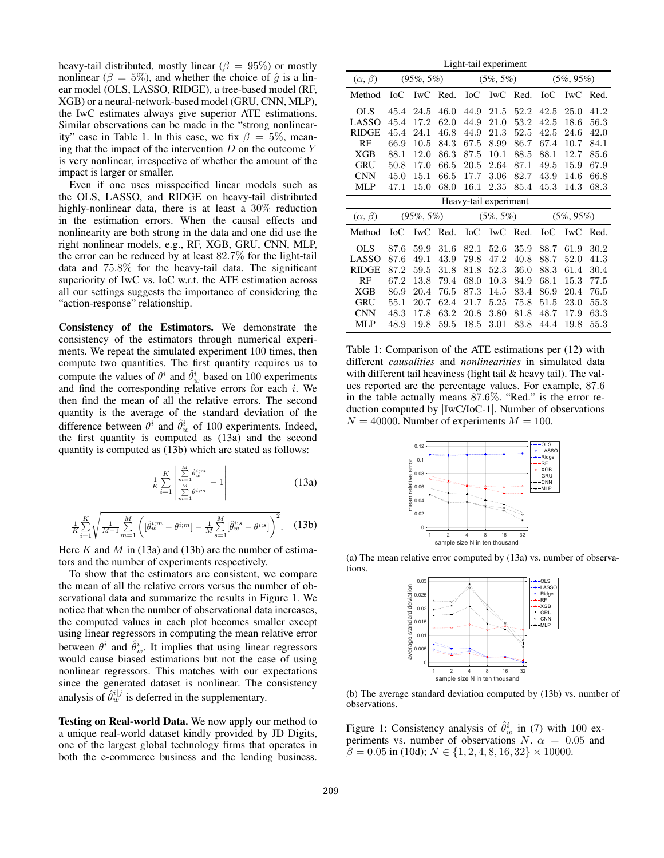heavy-tail distributed, mostly linear ( $\beta = 95\%$ ) or mostly nonlinear ( $\beta = 5\%$ ), and whether the choice of  $\hat{q}$  is a linear model (OLS, LASSO, RIDGE), a tree-based model (RF, XGB) or a neural-network-based model (GRU, CNN, MLP), the IwC estimates always give superior ATE estimations. Similar observations can be made in the "strong nonlinearity" case in Table 1. In this case, we fix  $\beta = 5\%$ , meaning that the impact of the intervention  $D$  on the outcome  $Y$ is very nonlinear, irrespective of whether the amount of the impact is larger or smaller.

Even if one uses misspecified linear models such as the OLS, LASSO, and RIDGE on heavy-tail distributed highly-nonlinear data, there is at least a 30% reduction in the estimation errors. When the causal effects and nonlinearity are both strong in the data and one did use the right nonlinear models, e.g., RF, XGB, GRU, CNN, MLP, the error can be reduced by at least 82.7% for the light-tail data and 75.8% for the heavy-tail data. The significant superiority of IwC vs. IoC w.r.t. the ATE estimation across all our settings suggests the importance of considering the "action-response" relationship.

Consistency of the Estimators. We demonstrate the consistency of the estimators through numerical experiments. We repeat the simulated experiment 100 times, then compute two quantities. The first quantity requires us to compute the values of  $\theta^i$  and  $\hat{\theta}^i_w$  based on 100 experiments and find the corresponding relative errors for each  $i$ . We then find the mean of all the relative errors. The second quantity is the average of the standard deviation of the difference between  $\theta^i$  and  $\hat{\theta}^i_w$  of 100 experiments. Indeed, the first quantity is computed as (13a) and the second quantity is computed as (13b) which are stated as follows:

$$
\frac{1}{K} \sum_{i=1}^{K} \left| \frac{\sum_{m=1}^{M} \hat{\theta}_{w}^{i;m}}{\sum_{m=1}^{M} \theta_{i;m}} - 1 \right| \tag{13a}
$$

$$
\frac{1}{K} \sum_{i=1}^{K} \sqrt{\frac{1}{M-1} \sum_{m=1}^{M} \left( [\hat{\theta}_{w}^{i:m} - \theta^{i,m}] - \frac{1}{M} \sum_{s=1}^{M} [\hat{\theta}_{w}^{i,s} - \theta^{i,s}] \right)^{2}}.
$$
 (13b)

Here K and M in (13a) and (13b) are the number of estimators and the number of experiments respectively.

To show that the estimators are consistent, we compare the mean of all the relative errors versus the number of observational data and summarize the results in Figure 1. We notice that when the number of observational data increases, the computed values in each plot becomes smaller except using linear regressors in computing the mean relative error between  $\theta^i$  and  $\hat{\theta}_w^i$ . It implies that using linear regressors would cause biased estimations but not the case of using nonlinear regressors. This matches with our expectations since the generated dataset is nonlinear. The consistency analysis of  $\hat{\theta}_w^{i|j}$  is deferred in the supplementary.

Testing on Real-world Data. We now apply our method to a unique real-world dataset kindly provided by JD Digits, one of the largest global technology firms that operates in both the e-commerce business and the lending business.

|                   | Light-tail experiment |               |      |              |                       |      |               |               |      |
|-------------------|-----------------------|---------------|------|--------------|-----------------------|------|---------------|---------------|------|
| $(\alpha, \beta)$ | $(95\%, 5\%)$         |               |      | $(5\%, 5\%)$ |                       |      | $(5\%, 95\%)$ |               |      |
| Method            | IoC                   | IwC           | Red. | <b>IoC</b>   | <b>IwC</b>            | Red. | IoC           | IwC           | Red. |
| <b>OLS</b>        | 45.4                  | 24.5          | 46.0 | 44.9         | 21.5                  | 52.2 | 42.5          | 25.0          | 41.2 |
| LASSO             | 45.4                  | 17.2          | 62.0 | 44.9         | 21.0                  | 53.2 | 42.5          | 18.6          | 56.3 |
| <b>RIDGE</b>      | 45.4                  | 24.1          | 46.8 | 44.9         | 21.3                  | 52.5 | 42.5          | 24.6          | 42.0 |
| RF                | 66.9                  | 10.5          | 84.3 | 67.5         | 8.99                  | 86.7 | 67.4          | 10.7          | 84.1 |
| XGB               | 88.1                  | 12.0          | 86.3 | 87.5         | 10.1                  | 88.5 | 88.1          | 12.7          | 85.6 |
| GRU               | 50.8                  | 17.0          | 66.5 | 20.5         | 2.64                  | 87.1 | 49.5          | 15.9          | 67.9 |
| <b>CNN</b>        | 45.0                  | 15.1          | 66.5 | 17.7         | 3.06                  | 82.7 | 43.9          | 14.6          | 66.8 |
| MLP               | 47.1                  | 15.0          | 68.0 | $16.1\,$     | $2.35\,$              | 85.4 | 45.3          | 14.3          | 68.3 |
|                   |                       |               |      |              |                       |      |               |               |      |
|                   |                       |               |      |              | Heavy-tail experiment |      |               |               |      |
| $(\alpha, \beta)$ |                       | $(95\%, 5\%)$ |      |              | $(5\%, 5\%)$          |      |               | $(5\%, 95\%)$ |      |
| Method            | IoC                   | IwC           | Red. | $_{\rm IoC}$ | IwC                   | Red. | IoC           | IwC           | Red. |
| <b>OLS</b>        | 87.6                  | 59.9          | 31.6 | 82.1         | 52.6                  | 35.9 | 88.7          | 61.9          | 30.2 |
| LASSO             | 87.6                  | 49.1          | 43.9 | 79.8         | 47.2                  | 40.8 | 88.7          | 52.0          | 41.3 |
| <b>RIDGE</b>      | 87.2                  | 59.5          | 31.8 | 81.8         | 52.3                  | 36.0 | 88.3          | 61.4          | 30.4 |
| RF                | 67.2                  | 13.8          | 79.4 | 68.0         | 10.3                  | 84.9 | 68.1          | 15.3          | 77.5 |
| XGB               | 86.9                  | 20.4          | 76.5 | 87.3         | 14.5                  | 83.4 | 86.9          | 20.4          | 76.5 |
| <b>GRU</b>        | 55.1                  | 20.7          | 62.4 | 21.7         | 5.25                  | 75.8 | 51.5          | 23.0          | 55.3 |
| <b>CNN</b>        | 48.3                  | 17.8          | 63.2 | 20.8         | 3.80                  | 81.8 | 48.7          | 17.9          | 63.3 |

Table 1: Comparison of the ATE estimations per (12) with different *causalities* and *nonlinearities* in simulated data with different tail heaviness (light tail & heavy tail). The values reported are the percentage values. For example, 87.6 in the table actually means 87.6%. "Red." is the error reduction computed by |IwC/IoC-1|. Number of observations  $N = 40000$ . Number of experiments  $M = 100$ .



(a) The mean relative error computed by (13a) vs. number of observations.



(b) The average standard deviation computed by (13b) vs. number of observations.

Figure 1: Consistency analysis of  $\hat{\theta}_w^i$  in (7) with 100 experiments vs. number of observations N.  $\alpha = 0.05$  and  $\beta = 0.05$  in (10d);  $N \in \{1, 2, 4, 8, 16, 32\} \times 10000$ .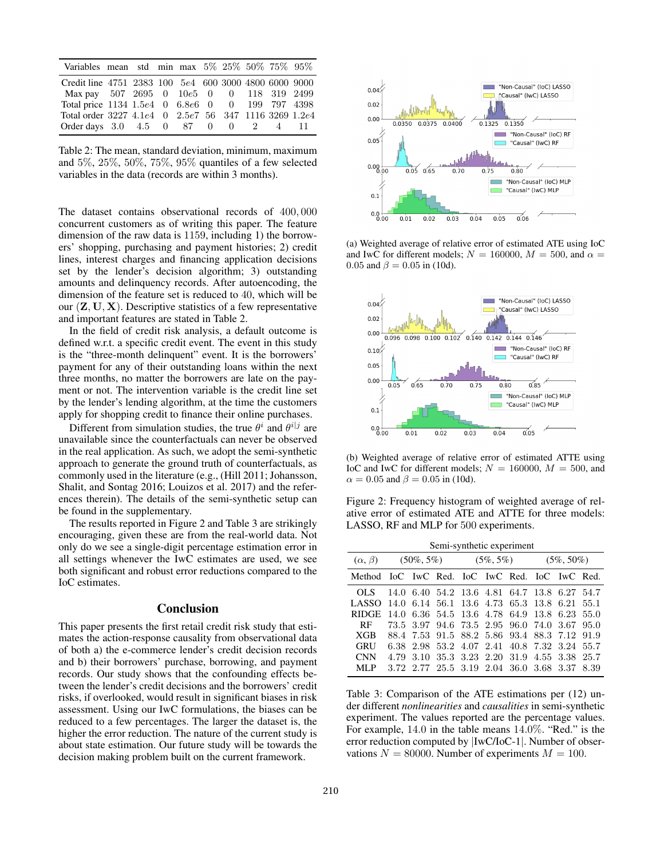| Variables mean std min max 5% 25% 50% 75% 95%         |  |  |  |  |  |
|-------------------------------------------------------|--|--|--|--|--|
| Credit line 4751 2383 100 5e4 600 3000 4800 6000 9000 |  |  |  |  |  |
| Max pay 507 2695 0 10e5 0 0 118 319 2499              |  |  |  |  |  |
| Total price 1134 1.5e4 0 6.8e6 0 0 199 797 4398       |  |  |  |  |  |
| Total order 3227 4.1e4 0 2.5e7 56 347 1116 3269 1.2e4 |  |  |  |  |  |
| Order days 3.0 4.5 0 87 0 0 2 4 11                    |  |  |  |  |  |

Table 2: The mean, standard deviation, minimum, maximum and 5%, 25%, 50%, 75%, 95% quantiles of a few selected variables in the data (records are within 3 months).

The dataset contains observational records of 400, 000 concurrent customers as of writing this paper. The feature dimension of the raw data is 1159, including 1) the borrowers' shopping, purchasing and payment histories; 2) credit lines, interest charges and financing application decisions set by the lender's decision algorithm; 3) outstanding amounts and delinquency records. After autoencoding, the dimension of the feature set is reduced to 40, which will be our  $(\mathbf{Z}, \mathbf{U}, \mathbf{X})$ . Descriptive statistics of a few representative and important features are stated in Table 2.

In the field of credit risk analysis, a default outcome is defined w.r.t. a specific credit event. The event in this study is the "three-month delinquent" event. It is the borrowers' payment for any of their outstanding loans within the next three months, no matter the borrowers are late on the payment or not. The intervention variable is the credit line set by the lender's lending algorithm, at the time the customers apply for shopping credit to finance their online purchases.

Different from simulation studies, the true  $\theta^i$  and  $\theta^{i|j}$  are unavailable since the counterfactuals can never be observed in the real application. As such, we adopt the semi-synthetic approach to generate the ground truth of counterfactuals, as commonly used in the literature (e.g., (Hill 2011; Johansson, Shalit, and Sontag 2016; Louizos et al. 2017) and the references therein). The details of the semi-synthetic setup can be found in the supplementary.

The results reported in Figure 2 and Table 3 are strikingly encouraging, given these are from the real-world data. Not only do we see a single-digit percentage estimation error in all settings whenever the IwC estimates are used, we see both significant and robust error reductions compared to the IoC estimates.

### **Conclusion**

This paper presents the first retail credit risk study that estimates the action-response causality from observational data of both a) the e-commerce lender's credit decision records and b) their borrowers' purchase, borrowing, and payment records. Our study shows that the confounding effects between the lender's credit decisions and the borrowers' credit risks, if overlooked, would result in significant biases in risk assessment. Using our IwC formulations, the biases can be reduced to a few percentages. The larger the dataset is, the higher the error reduction. The nature of the current study is about state estimation. Our future study will be towards the decision making problem built on the current framework.



(a) Weighted average of relative error of estimated ATE using IoC and IwC for different models;  $N = 160000$ ,  $M = 500$ , and  $\alpha =$ 0.05 and  $\beta = 0.05$  in (10d).



(b) Weighted average of relative error of estimated ATTE using IoC and IwC for different models;  $N = 160000$ ,  $M = 500$ , and  $\alpha = 0.05$  and  $\beta = 0.05$  in (10d).

Figure 2: Frequency histogram of weighted average of relative error of estimated ATE and ATTE for three models: LASSO, RF and MLP for 500 experiments.

| Semi-synthetic experiment                     |               |           |                          |                |  |                                         |               |  |      |
|-----------------------------------------------|---------------|-----------|--------------------------|----------------|--|-----------------------------------------|---------------|--|------|
| $(\alpha, \beta)$                             | $(50\%, 5\%)$ |           |                          | $(5\%, 5\%)$   |  |                                         | $(5\%, 50\%)$ |  |      |
| Method IoC IwC Red. IoC IwC Red. IoC IwC Red. |               |           |                          |                |  |                                         |               |  |      |
| OL S                                          |               |           |                          |                |  | 14.0 6.40 54.2 13.6 4.81 64.7 13.8 6.27 |               |  | 54.7 |
| LASSO.                                        | 14.0          |           | 6.14 56.1 13.6 4.73 65.3 |                |  |                                         | 13.8 6.21     |  | 55.1 |
| <b>RIDGE</b>                                  |               |           |                          |                |  | 14.0 6.36 54.5 13.6 4.78 64.9 13.8 6.23 |               |  | 55.0 |
| <b>RF</b>                                     |               | 73.5 3.97 |                          |                |  | 94.6 73.5 2.95 96.0 74.0 3.67           |               |  | 95.0 |
| XGB                                           |               |           |                          |                |  | 88.4 7.53 91.5 88.2 5.86 93.4 88.3 7.12 |               |  | 91.9 |
| GRU                                           |               |           |                          |                |  | 6.38 2.98 53.2 4.07 2.41 40.8 7.32 3.24 |               |  | 55.7 |
| <b>CNN</b>                                    | 4.79          | 3.10      |                          | 35.3 3.23 2.20 |  | 31.9                                    | 4.55 3.38     |  | 25.7 |
| ML P                                          |               |           | 3.72 2.77 25.5 3.19 2.04 |                |  | 36.0 3.68 3.37                          |               |  | 8.39 |

Table 3: Comparison of the ATE estimations per (12) under different *nonlinearities* and *causalities* in semi-synthetic experiment. The values reported are the percentage values. For example, 14.0 in the table means 14.0%. "Red." is the error reduction computed by |IwC/IoC-1|. Number of observations  $N = 80000$ . Number of experiments  $M = 100$ .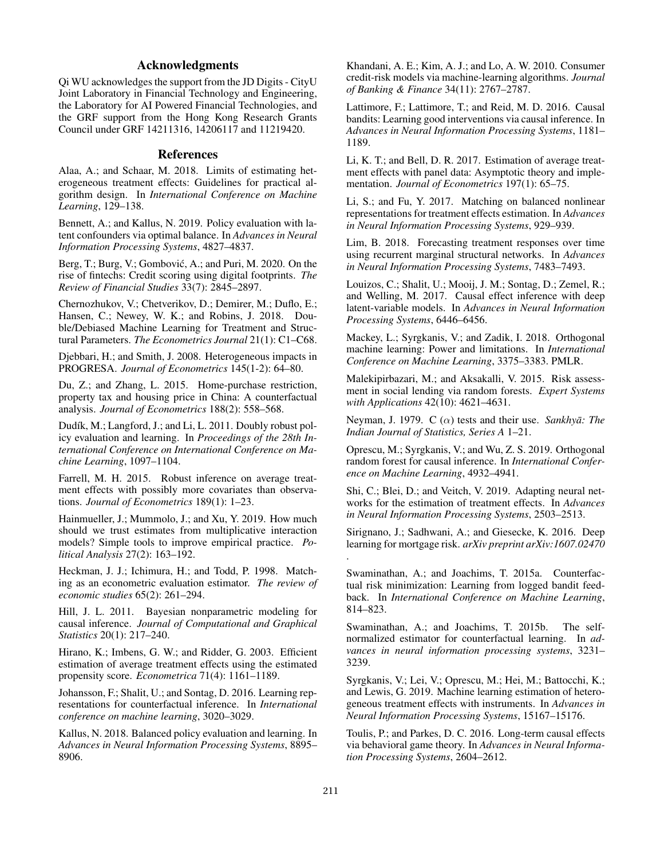# Acknowledgments

Qi WU acknowledges the support from the JD Digits - CityU Joint Laboratory in Financial Technology and Engineering, the Laboratory for AI Powered Financial Technologies, and the GRF support from the Hong Kong Research Grants Council under GRF 14211316, 14206117 and 11219420.

## References

Alaa, A.; and Schaar, M. 2018. Limits of estimating heterogeneous treatment effects: Guidelines for practical algorithm design. In *International Conference on Machine Learning*, 129–138.

Bennett, A.; and Kallus, N. 2019. Policy evaluation with latent confounders via optimal balance. In *Advances in Neural Information Processing Systems*, 4827–4837.

Berg, T.; Burg, V.; Gombović, A.; and Puri, M. 2020. On the rise of fintechs: Credit scoring using digital footprints. *The Review of Financial Studies* 33(7): 2845–2897.

Chernozhukov, V.; Chetverikov, D.; Demirer, M.; Duflo, E.; Hansen, C.; Newey, W. K.; and Robins, J. 2018. Double/Debiased Machine Learning for Treatment and Structural Parameters. *The Econometrics Journal* 21(1): C1–C68.

Djebbari, H.; and Smith, J. 2008. Heterogeneous impacts in PROGRESA. *Journal of Econometrics* 145(1-2): 64–80.

Du, Z.; and Zhang, L. 2015. Home-purchase restriction, property tax and housing price in China: A counterfactual analysis. *Journal of Econometrics* 188(2): 558–568.

Dudík, M.; Langford, J.; and Li, L. 2011. Doubly robust policy evaluation and learning. In *Proceedings of the 28th International Conference on International Conference on Machine Learning*, 1097–1104.

Farrell, M. H. 2015. Robust inference on average treatment effects with possibly more covariates than observations. *Journal of Econometrics* 189(1): 1–23.

Hainmueller, J.; Mummolo, J.; and Xu, Y. 2019. How much should we trust estimates from multiplicative interaction models? Simple tools to improve empirical practice. *Political Analysis* 27(2): 163–192.

Heckman, J. J.; Ichimura, H.; and Todd, P. 1998. Matching as an econometric evaluation estimator. *The review of economic studies* 65(2): 261–294.

Hill, J. L. 2011. Bayesian nonparametric modeling for causal inference. *Journal of Computational and Graphical Statistics* 20(1): 217–240.

Hirano, K.; Imbens, G. W.; and Ridder, G. 2003. Efficient estimation of average treatment effects using the estimated propensity score. *Econometrica* 71(4): 1161–1189.

Johansson, F.; Shalit, U.; and Sontag, D. 2016. Learning representations for counterfactual inference. In *International conference on machine learning*, 3020–3029.

Kallus, N. 2018. Balanced policy evaluation and learning. In *Advances in Neural Information Processing Systems*, 8895– 8906.

Khandani, A. E.; Kim, A. J.; and Lo, A. W. 2010. Consumer credit-risk models via machine-learning algorithms. *Journal of Banking & Finance* 34(11): 2767–2787.

Lattimore, F.; Lattimore, T.; and Reid, M. D. 2016. Causal bandits: Learning good interventions via causal inference. In *Advances in Neural Information Processing Systems*, 1181– 1189.

Li, K. T.; and Bell, D. R. 2017. Estimation of average treatment effects with panel data: Asymptotic theory and implementation. *Journal of Econometrics* 197(1): 65–75.

Li, S.; and Fu, Y. 2017. Matching on balanced nonlinear representations for treatment effects estimation. In *Advances in Neural Information Processing Systems*, 929–939.

Lim, B. 2018. Forecasting treatment responses over time using recurrent marginal structural networks. In *Advances in Neural Information Processing Systems*, 7483–7493.

Louizos, C.; Shalit, U.; Mooij, J. M.; Sontag, D.; Zemel, R.; and Welling, M. 2017. Causal effect inference with deep latent-variable models. In *Advances in Neural Information Processing Systems*, 6446–6456.

Mackey, L.; Syrgkanis, V.; and Zadik, I. 2018. Orthogonal machine learning: Power and limitations. In *International Conference on Machine Learning*, 3375–3383. PMLR.

Malekipirbazari, M.; and Aksakalli, V. 2015. Risk assessment in social lending via random forests. *Expert Systems with Applications* 42(10): 4621–4631.

Neyman, J. 1979. C  $(\alpha)$  tests and their use. *Sankhya: The Indian Journal of Statistics, Series A* 1–21.

Oprescu, M.; Syrgkanis, V.; and Wu, Z. S. 2019. Orthogonal random forest for causal inference. In *International Conference on Machine Learning*, 4932–4941.

Shi, C.; Blei, D.; and Veitch, V. 2019. Adapting neural networks for the estimation of treatment effects. In *Advances in Neural Information Processing Systems*, 2503–2513.

Sirignano, J.; Sadhwani, A.; and Giesecke, K. 2016. Deep learning for mortgage risk. *arXiv preprint arXiv:1607.02470*

Swaminathan, A.; and Joachims, T. 2015a. Counterfactual risk minimization: Learning from logged bandit feedback. In *International Conference on Machine Learning*, 814–823.

Swaminathan, A.; and Joachims, T. 2015b. The selfnormalized estimator for counterfactual learning. In *advances in neural information processing systems*, 3231– 3239.

Syrgkanis, V.; Lei, V.; Oprescu, M.; Hei, M.; Battocchi, K.; and Lewis, G. 2019. Machine learning estimation of heterogeneous treatment effects with instruments. In *Advances in Neural Information Processing Systems*, 15167–15176.

Toulis, P.; and Parkes, D. C. 2016. Long-term causal effects via behavioral game theory. In *Advances in Neural Information Processing Systems*, 2604–2612.

.